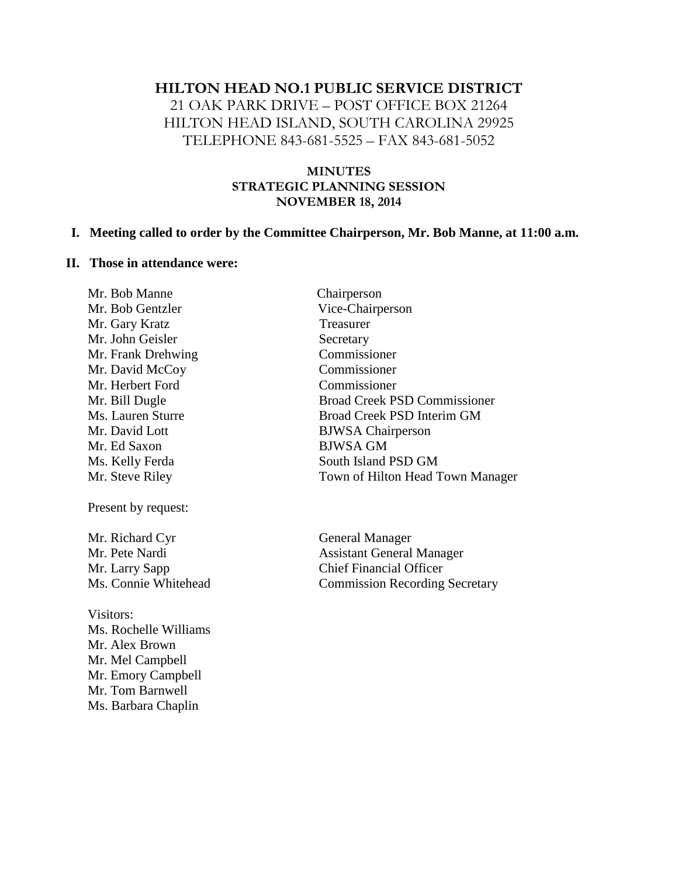# **HILTON HEAD NO.1 PUBLIC SERVICE DISTRICT** 21 OAK PARK DRIVE – POST OFFICE BOX 21264 HILTON HEAD ISLAND, SOUTH CAROLINA 29925 TELEPHONE 843-681-5525 – FAX 843-681-5052

#### **MINUTES STRATEGIC PLANNING SESSION NOVEMBER 18, 2014**

#### **I. Meeting called to order by the Committee Chairperson, Mr. Bob Manne, at 11:00 a.m.**

#### **II. Those in attendance were:**

Mr. Bob Manne Chairperson Mr. Bob Gentzler Vice-Chairperson Mr. Gary Kratz Treasurer Mr. John Geisler Secretary Mr. Frank Drehwing Commissioner Mr. David McCoy Commissioner Mr. Herbert Ford Commissioner Mr. Bill Dugle Broad Creek PSD Commissioner Ms. Lauren Sturre Broad Creek PSD Interim GM Mr. David Lott BJWSA Chairperson<br>
Mr. Ed Saxon BJWSA GM Mr. Ed Saxon Ms. Kelly Ferda South Island PSD GM Mr. Steve Riley **Town of Hilton Head Town Manager** Present by request: Mr. Richard Cyr General Manager Mr. Pete Nardi **Assistant General Manager** Mr. Larry Sapp Chief Financial Officer Ms. Connie Whitehead Commission Recording Secretary Visitors: Ms. Rochelle Williams Mr. Alex Brown Mr. Mel Campbell Mr. Emory Campbell Mr. Tom Barnwell Ms. Barbara Chaplin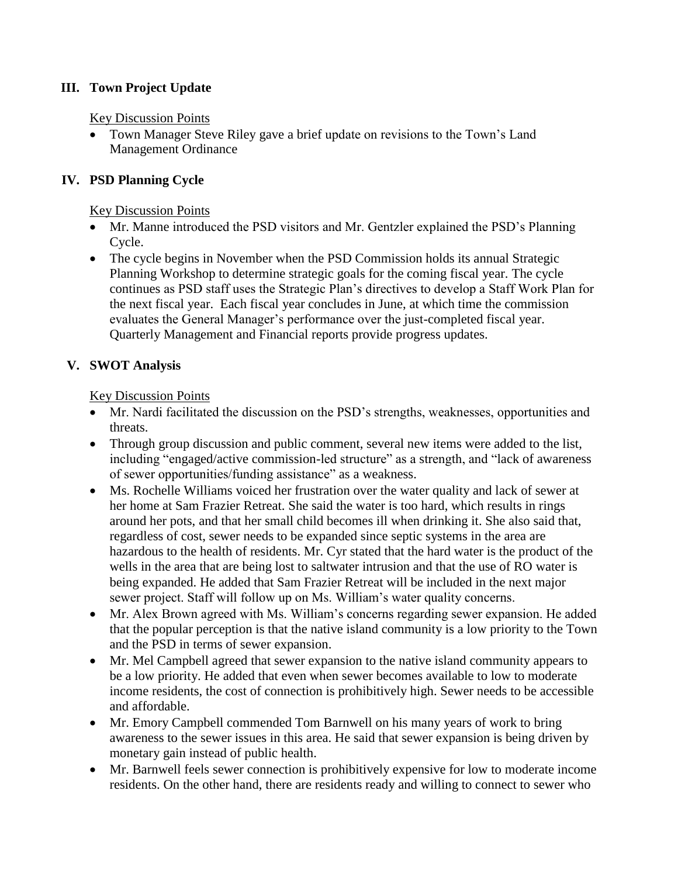## **III. Town Project Update**

#### Key Discussion Points

 Town Manager Steve Riley gave a brief update on revisions to the Town's Land Management Ordinance

## **IV. PSD Planning Cycle**

#### Key Discussion Points

- Mr. Manne introduced the PSD visitors and Mr. Gentzler explained the PSD's Planning Cycle.
- The cycle begins in November when the PSD Commission holds its annual Strategic Planning Workshop to determine strategic goals for the coming fiscal year. The cycle continues as PSD staff uses the Strategic Plan's directives to develop a Staff Work Plan for the next fiscal year. Each fiscal year concludes in June, at which time the commission evaluates the General Manager's performance over the just-completed fiscal year. Quarterly Management and Financial reports provide progress updates.

## **V. SWOT Analysis**

### Key Discussion Points

- Mr. Nardi facilitated the discussion on the PSD's strengths, weaknesses, opportunities and threats.
- Through group discussion and public comment, several new items were added to the list, including "engaged/active commission-led structure" as a strength, and "lack of awareness of sewer opportunities/funding assistance" as a weakness.
- Ms. Rochelle Williams voiced her frustration over the water quality and lack of sewer at her home at Sam Frazier Retreat. She said the water is too hard, which results in rings around her pots, and that her small child becomes ill when drinking it. She also said that, regardless of cost, sewer needs to be expanded since septic systems in the area are hazardous to the health of residents. Mr. Cyr stated that the hard water is the product of the wells in the area that are being lost to saltwater intrusion and that the use of RO water is being expanded. He added that Sam Frazier Retreat will be included in the next major sewer project. Staff will follow up on Ms. William's water quality concerns.
- Mr. Alex Brown agreed with Ms. William's concerns regarding sewer expansion. He added that the popular perception is that the native island community is a low priority to the Town and the PSD in terms of sewer expansion.
- Mr. Mel Campbell agreed that sewer expansion to the native island community appears to be a low priority. He added that even when sewer becomes available to low to moderate income residents, the cost of connection is prohibitively high. Sewer needs to be accessible and affordable.
- Mr. Emory Campbell commended Tom Barnwell on his many years of work to bring awareness to the sewer issues in this area. He said that sewer expansion is being driven by monetary gain instead of public health.
- Mr. Barnwell feels sewer connection is prohibitively expensive for low to moderate income residents. On the other hand, there are residents ready and willing to connect to sewer who